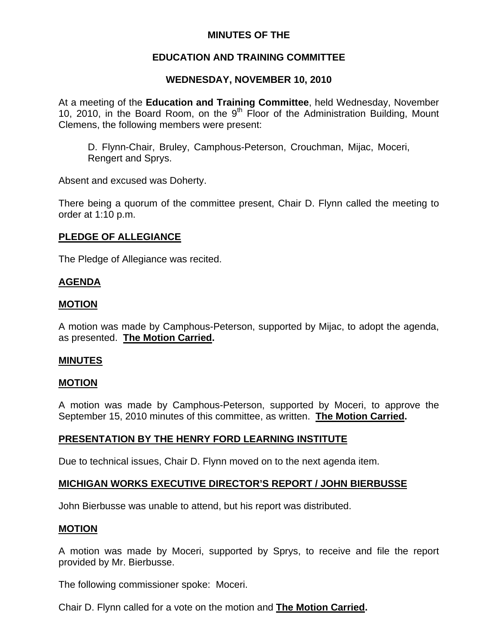## **MINUTES OF THE**

## **EDUCATION AND TRAINING COMMITTEE**

## **WEDNESDAY, NOVEMBER 10, 2010**

At a meeting of the **Education and Training Committee**, held Wednesday, November 10, 2010, in the Board Room, on the  $9<sup>th</sup>$  Floor of the Administration Building, Mount Clemens, the following members were present:

D. Flynn-Chair, Bruley, Camphous-Peterson, Crouchman, Mijac, Moceri, Rengert and Sprys.

Absent and excused was Doherty.

There being a quorum of the committee present, Chair D. Flynn called the meeting to order at 1:10 p.m.

## **PLEDGE OF ALLEGIANCE**

The Pledge of Allegiance was recited.

## **AGENDA**

#### **MOTION**

A motion was made by Camphous-Peterson, supported by Mijac, to adopt the agenda, as presented. **The Motion Carried.** 

#### **MINUTES**

#### **MOTION**

A motion was made by Camphous-Peterson, supported by Moceri, to approve the September 15, 2010 minutes of this committee, as written. **The Motion Carried.** 

## **PRESENTATION BY THE HENRY FORD LEARNING INSTITUTE**

Due to technical issues, Chair D. Flynn moved on to the next agenda item.

## **MICHIGAN WORKS EXECUTIVE DIRECTOR'S REPORT / JOHN BIERBUSSE**

John Bierbusse was unable to attend, but his report was distributed.

#### **MOTION**

A motion was made by Moceri, supported by Sprys, to receive and file the report provided by Mr. Bierbusse.

The following commissioner spoke: Moceri.

Chair D. Flynn called for a vote on the motion and **The Motion Carried.**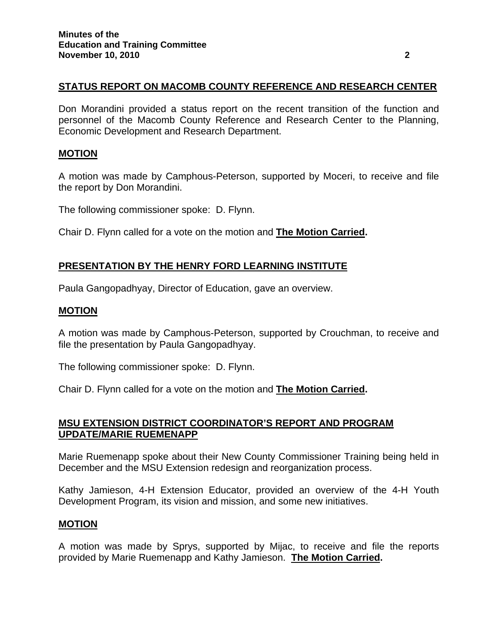## **STATUS REPORT ON MACOMB COUNTY REFERENCE AND RESEARCH CENTER**

Don Morandini provided a status report on the recent transition of the function and personnel of the Macomb County Reference and Research Center to the Planning, Economic Development and Research Department.

#### **MOTION**

A motion was made by Camphous-Peterson, supported by Moceri, to receive and file the report by Don Morandini.

The following commissioner spoke: D. Flynn.

Chair D. Flynn called for a vote on the motion and **The Motion Carried.** 

#### **PRESENTATION BY THE HENRY FORD LEARNING INSTITUTE**

Paula Gangopadhyay, Director of Education, gave an overview.

#### **MOTION**

A motion was made by Camphous-Peterson, supported by Crouchman, to receive and file the presentation by Paula Gangopadhyay.

The following commissioner spoke: D. Flynn.

Chair D. Flynn called for a vote on the motion and **The Motion Carried.** 

## **MSU EXTENSION DISTRICT COORDINATOR'S REPORT AND PROGRAM UPDATE/MARIE RUEMENAPP**

Marie Ruemenapp spoke about their New County Commissioner Training being held in December and the MSU Extension redesign and reorganization process.

Kathy Jamieson, 4-H Extension Educator, provided an overview of the 4-H Youth Development Program, its vision and mission, and some new initiatives.

#### **MOTION**

A motion was made by Sprys, supported by Mijac, to receive and file the reports provided by Marie Ruemenapp and Kathy Jamieson. **The Motion Carried.**